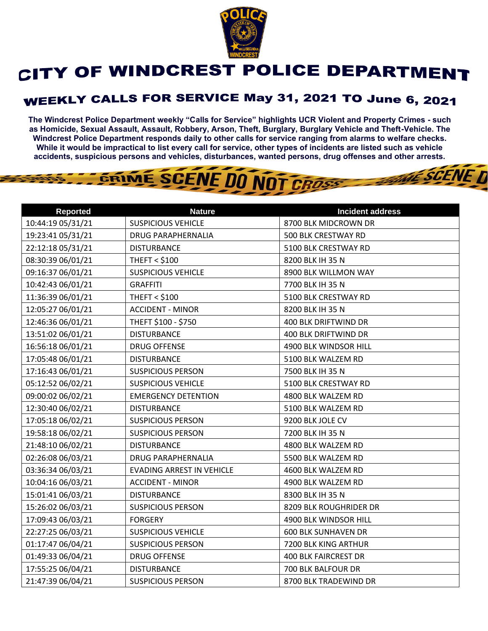

## CITY OF WINDCREST POLICE DEPARTMENT

## **WEEKLY CALLS FOR SERVICE May 31, 2021 TO June 6, 2021**

**The Windcrest Police Department weekly "Calls for Service" highlights UCR Violent and Property Crimes - such as Homicide, Sexual Assault, Assault, Robbery, Arson, Theft, Burglary, Burglary Vehicle and Theft-Vehicle. The Windcrest Police Department responds daily to other calls for service ranging from alarms to welfare checks. While it would be impractical to list every call for service, other types of incidents are listed such as vehicle accidents, suspicious persons and vehicles, disturbances, wanted persons, drug offenses and other arrests.** 

**THE SCENE D** 

## GRIME SCENE DO NOT CROSS

| <b>Reported</b>   | <b>Nature</b>                    | <b>Incident address</b>     |
|-------------------|----------------------------------|-----------------------------|
| 10:44:19 05/31/21 | <b>SUSPICIOUS VEHICLE</b>        | 8700 BLK MIDCROWN DR        |
| 19:23:41 05/31/21 | <b>DRUG PARAPHERNALIA</b>        | 500 BLK CRESTWAY RD         |
| 22:12:18 05/31/21 | <b>DISTURBANCE</b>               | 5100 BLK CRESTWAY RD        |
| 08:30:39 06/01/21 | <b>THEFT &lt; \$100</b>          | 8200 BLK IH 35 N            |
| 09:16:37 06/01/21 | <b>SUSPICIOUS VEHICLE</b>        | 8900 BLK WILLMON WAY        |
| 10:42:43 06/01/21 | <b>GRAFFITI</b>                  | 7700 BLK IH 35 N            |
| 11:36:39 06/01/21 | <b>THEFT &lt; \$100</b>          | 5100 BLK CRESTWAY RD        |
| 12:05:27 06/01/21 | <b>ACCIDENT - MINOR</b>          | 8200 BLK IH 35 N            |
| 12:46:36 06/01/21 | THEFT \$100 - \$750              | 400 BLK DRIFTWIND DR        |
| 13:51:02 06/01/21 | <b>DISTURBANCE</b>               | 400 BLK DRIFTWIND DR        |
| 16:56:18 06/01/21 | <b>DRUG OFFENSE</b>              | 4900 BLK WINDSOR HILL       |
| 17:05:48 06/01/21 | <b>DISTURBANCE</b>               | 5100 BLK WALZEM RD          |
| 17:16:43 06/01/21 | <b>SUSPICIOUS PERSON</b>         | 7500 BLK IH 35 N            |
| 05:12:52 06/02/21 | <b>SUSPICIOUS VEHICLE</b>        | 5100 BLK CRESTWAY RD        |
| 09:00:02 06/02/21 | <b>EMERGENCY DETENTION</b>       | 4800 BLK WALZEM RD          |
| 12:30:40 06/02/21 | <b>DISTURBANCE</b>               | 5100 BLK WALZEM RD          |
| 17:05:18 06/02/21 | <b>SUSPICIOUS PERSON</b>         | 9200 BLK JOLE CV            |
| 19:58:18 06/02/21 | <b>SUSPICIOUS PERSON</b>         | 7200 BLK IH 35 N            |
| 21:48:10 06/02/21 | <b>DISTURBANCE</b>               | 4800 BLK WALZEM RD          |
| 02:26:08 06/03/21 | <b>DRUG PARAPHERNALIA</b>        | 5500 BLK WALZEM RD          |
| 03:36:34 06/03/21 | <b>EVADING ARREST IN VEHICLE</b> | 4600 BLK WALZEM RD          |
| 10:04:16 06/03/21 | <b>ACCIDENT - MINOR</b>          | 4900 BLK WALZEM RD          |
| 15:01:41 06/03/21 | <b>DISTURBANCE</b>               | 8300 BLK IH 35 N            |
| 15:26:02 06/03/21 | <b>SUSPICIOUS PERSON</b>         | 8209 BLK ROUGHRIDER DR      |
| 17:09:43 06/03/21 | <b>FORGERY</b>                   | 4900 BLK WINDSOR HILL       |
| 22:27:25 06/03/21 | <b>SUSPICIOUS VEHICLE</b>        | <b>600 BLK SUNHAVEN DR</b>  |
| 01:17:47 06/04/21 | <b>SUSPICIOUS PERSON</b>         | 7200 BLK KING ARTHUR        |
| 01:49:33 06/04/21 | <b>DRUG OFFENSE</b>              | <b>400 BLK FAIRCREST DR</b> |
| 17:55:25 06/04/21 | <b>DISTURBANCE</b>               | 700 BLK BALFOUR DR          |
| 21:47:39 06/04/21 | <b>SUSPICIOUS PERSON</b>         | 8700 BLK TRADEWIND DR       |